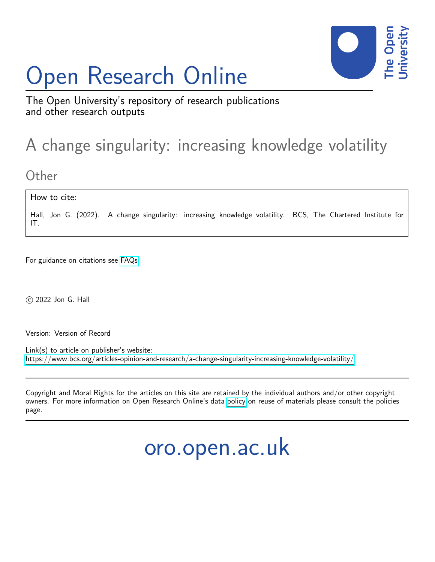# Open Research Online



The Open University's repository of research publications and other research outputs

## A change singularity: increasing knowledge volatility

**Other** 

How to cite:

Hall, Jon G. (2022). A change singularity: increasing knowledge volatility. BCS, The Chartered Institute for IT.

For guidance on citations see [FAQs.](http://oro.open.ac.uk/help/helpfaq.html)

c 2022 Jon G. Hall

Version: Version of Record

Link(s) to article on publisher's website: <https://www.bcs.org/articles-opinion-and-research/a-change-singularity-increasing-knowledge-volatility/>

Copyright and Moral Rights for the articles on this site are retained by the individual authors and/or other copyright owners. For more information on Open Research Online's data [policy](http://oro.open.ac.uk/policies.html) on reuse of materials please consult the policies page.

oro.open.ac.uk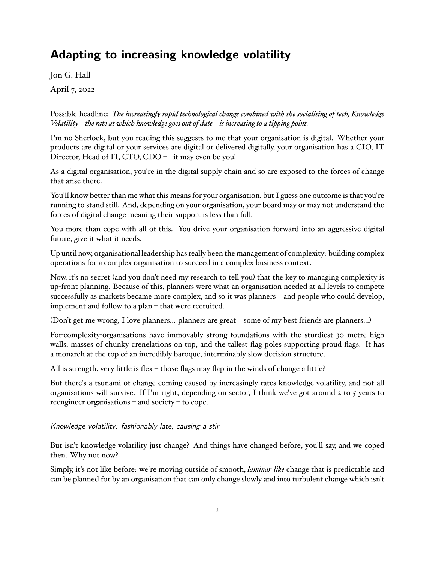### **Adapting to increasing knowledge volatility**

Jon G. Hall

April 7, 2022

Possible headline: *The increasingly rapid technological change combined with the socialising of tech, Knowledge Volatility – the rate at which knowledge goes out of date – is increasing to a tipping point.*

I'm no Sherlock, but you reading this suggests to me that your organisation is digital. Whether your products are digital or your services are digital or delivered digitally, your organisation has a CIO, IT Director, Head of IT, CTO, CDO - it may even be you!

As a digital organisation, you're in the digital supply chain and so are exposed to the forces of change that arise there.

You'll know better than me what this means for your organisation, but I guess one outcome is that you're running to stand still. And, depending on your organisation, your board may or may not understand the forces of digital change meaning their support is less than full.

You more than cope with all of this. You drive your organisation forward into an aggressive digital future, give it what it needs.

Up until now, organisational leadership has really been the management of complexity: building complex operations for a complex organisation to succeed in a complex business context.

Now, it's no secret (and you don't need my research to tell you) that the key to managing complexity is up-front planning. Because of this, planners were what an organisation needed at all levels to compete successfully as markets became more complex, and so it was planners – and people who could develop, implement and follow to a plan – that were recruited.

(Don't get me wrong, I love planners... planners are great – some of my best friends are planners...)

For-complexity-organisations have immovably strong foundations with the sturdiest 30 metre high walls, masses of chunky crenelations on top, and the tallest flag poles supporting proud flags. It has a monarch at the top of an incredibly baroque, interminably slow decision structure.

All is strength, very little is flex – those flags may flap in the winds of change a little?

But there's a tsunami of change coming caused by increasingly rates knowledge volatility, and not all organisations will survive. If I'm right, depending on sector, I think we've got around  $2 \text{ to } 5$  years to reengineer organisations – and society – to cope.

*Knowledge volatility: fashionably late, causing a stir.*

But isn't knowledge volatility just change? And things have changed before, you'll say, and we coped then. Why not now?

Simply, it's not like before: we're moving outside of smooth, *laminar-like* change that is predictable and can be planned for by an organisation that can only change slowly and into turbulent change which isn't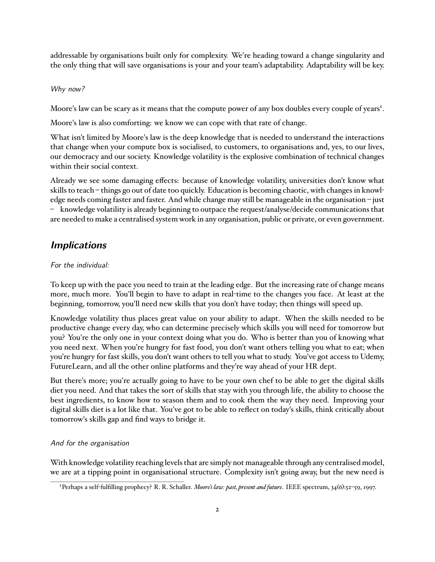addressable by organisations built only for complexity. We're heading toward a change singularity and the only thing that will save organisations is your and your team's adaptability. Adaptability will be key.

#### *Why now?*

Moore's law can be scary as it means that the compute power of any box doubles every couple of years<sup>1</sup>.

Moore's law is also comforting: we know we can cope with that rate of change.

What isn't limited by Moore's law is the deep knowledge that is needed to understand the interactions that change when your compute box is socialised, to customers, to organisations and, yes, to our lives, our democracy and our society. Knowledge volatility is the explosive combination of technical changes within their social context.

Already we see some damaging effects: because of knowledge volatility, universities don't know what skills to teach – things go out of date too quickly. Education is becoming chaotic, with changes in knowledge needs coming faster and faster. And while change may still be manageable in the organisation – just – knowledge volatility is already beginning to outpace the request/analyse/decide communications that are needed to make a centralised system work in any organisation, public or private, or even government.

#### *Implications*

#### *For the individual:*

To keep up with the pace you need to train at the leading edge. But the increasing rate of change means more, much more. You'll begin to have to adapt in real-time to the changes you face. At least at the beginning, tomorrow, you'll need new skills that you don't have today; then things will speed up.

Knowledge volatility thus places great value on your ability to adapt. When the skills needed to be productive change every day, who can determine precisely which skills you will need for tomorrow but you? You're the only one in your context doing what you do. Who is better than you of knowing what you need next. When you're hungry for fast food, you don't want others telling you what to eat; when you're hungry for fast skills, you don't want others to tell you what to study. You've got access to Udemy, FutureLearn, and all the other online platforms and they're way ahead of your HR dept.

But there's more; you're actually going to have to be your own chef to be able to get the digital skills diet you need. And that takes the sort of skills that stay with you through life, the ability to choose the best ingredients, to know how to season them and to cook them the way they need. Improving your digital skills diet is a lot like that. You've got to be able to reflect on today's skills, think critically about tomorrow's skills gap and find ways to bridge it.

#### *And for the organisation*

With knowledge volatility reaching levels that are simply not manageable through any centralised model, we are at a tipping point in organisational structure. Complexity isn't going away, but the new need is

<sup>1</sup> Perhaps a self-fulfilling prophecy? R. R. Schaller. *Moore's law: past, present and future*. IEEE spectrum, 34(6):52–59, 1997.